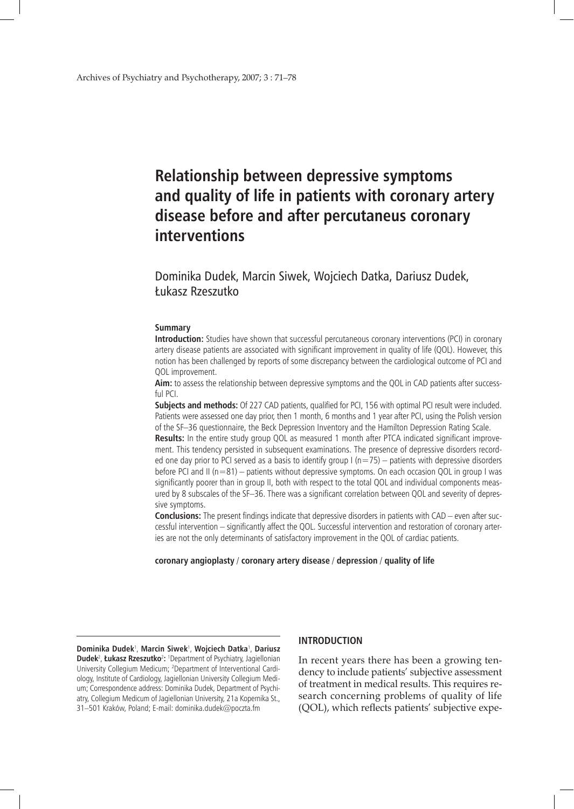# **Relationship between depressive symptoms and quality of life in patients with coronary artery disease before and after percutaneus coronary interventions**

Dominika Dudek, Marcin Siwek, Wojciech Datka, Dariusz Dudek, Łukasz Rzeszutko

#### **Summary**

**Introduction:** Studies have shown that successful percutaneous coronary interventions (PCI) in coronary artery disease patients are associated with significant improvement in quality of life (QOL). However, this notion has been challenged by reports of some discrepancy between the cardiological outcome of PCI and QOL improvement.

**Aim:** to assess the relationship between depressive symptoms and the QOL in CAD patients after successful PCI.

**Subjects and methods:** Of 227 CAD patients, qualified for PCI, 156 with optimal PCI result were included. Patients were assessed one day prior, then 1 month, 6 months and 1 year after PCI, using the Polish version of the SF–36 questionnaire, the Beck Depression Inventory and the Hamilton Depression Rating Scale. **Results:** In the entire study group QOL as measured 1 month after PTCA indicated significant improvement. This tendency persisted in subsequent examinations. The presence of depressive disorders recorded one day prior to PCI served as a basis to identify group  $1(n=75)$  – patients with depressive disorders before PCI and II (n=81) – patients without depressive symptoms. On each occasion QOL in group I was significantly poorer than in group II, both with respect to the total QOL and individual components measured by 8 subscales of the SF–36. There was a significant correlation between QOL and severity of depressive symptoms.

**Conclusions:** The present findings indicate that depressive disorders in patients with CAD – even after successful intervention – significantly affect the QOL. Successful intervention and restoration of coronary arteries are not the only determinants of satisfactory improvement in the QOL of cardiac patients.

#### **coronary angioplasty** / **coronary artery disease** / **depression** / **quality of life**

**Dominika Dudek**<sup>1</sup> , **Marcin Siwek**<sup>1</sup> , **Wojciech Datka**<sup>1</sup> , **Dariusz Dudek<sup>2</sup>, Łukasz Rzeszutko<sup>2</sup>:** 1Department of Psychiatry, Jagiellonian University Collegium Medicum; 2 Department of Interventional Cardiology, Institute of Cardiology, Jagiellonian University Collegium Medium; Correspondence address: Dominika Dudek, Department of Psychiatry, Collegium Medicum of Jagiellonian University, 21a Kopernika St., 31–501 Kraków, Poland; E-mail: dominika.dudek@poczta.fm

#### **INTRODUCTION**

In recent years there has been a growing tendency to include patients' subjective assessment of treatment in medical results. This requires research concerning problems of quality of life (QOL), which reflects patients' subjective expe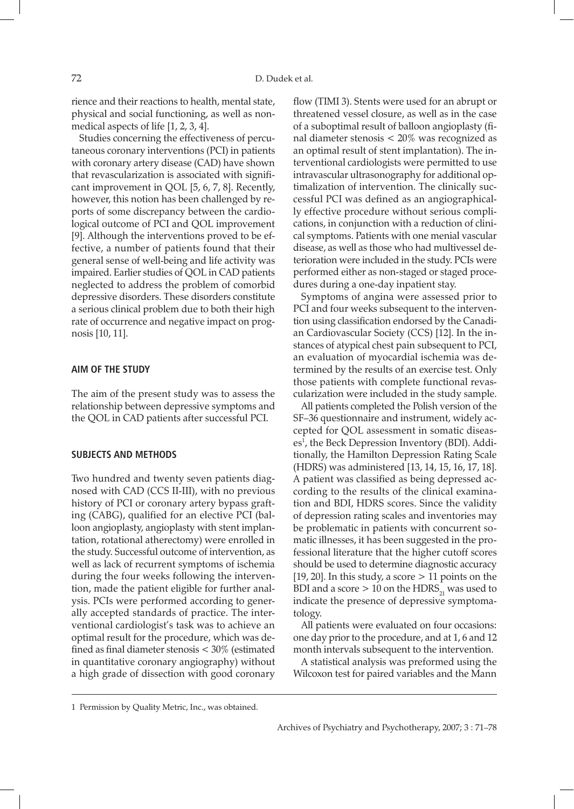rience and their reactions to health, mental state, physical and social functioning, as well as nonmedical aspects of life [1, 2, 3, 4].

Studies concerning the effectiveness of percutaneous coronary interventions (PCI) in patients with coronary artery disease (CAD) have shown that revascularization is associated with significant improvement in QOL [5, 6, 7, 8]. Recently, however, this notion has been challenged by reports of some discrepancy between the cardiological outcome of PCI and QOL improvement [9]. Although the interventions proved to be effective, a number of patients found that their general sense of well-being and life activity was impaired. Earlier studies of QOL in CAD patients neglected to address the problem of comorbid depressive disorders. These disorders constitute a serious clinical problem due to both their high rate of occurrence and negative impact on prognosis [10, 11].

## **AIM OF THE STUDY**

The aim of the present study was to assess the relationship between depressive symptoms and the QOL in CAD patients after successful PCI.

#### **SUBJECTS AND METHODS**

Two hundred and twenty seven patients diagnosed with CAD (CCS II-III), with no previous history of PCI or coronary artery bypass grafting (CABG), qualified for an elective PCI (balloon angioplasty, angioplasty with stent implantation, rotational atherectomy) were enrolled in the study. Successful outcome of intervention, as well as lack of recurrent symptoms of ischemia during the four weeks following the intervention, made the patient eligible for further analysis. PCIs were performed according to generally accepted standards of practice. The interventional cardiologist's task was to achieve an optimal result for the procedure, which was defined as final diameter stenosis < 30% (estimated in quantitative coronary angiography) without a high grade of dissection with good coronary flow (TIMI 3). Stents were used for an abrupt or threatened vessel closure, as well as in the case of a suboptimal result of balloon angioplasty (final diameter stenosis < 20% was recognized as an optimal result of stent implantation). The interventional cardiologists were permitted to use intravascular ultrasonography for additional optimalization of intervention. The clinically successful PCI was defined as an angiographically effective procedure without serious complications, in conjunction with a reduction of clinical symptoms. Patients with one menial vascular disease, as well as those who had multivessel deterioration were included in the study. PCIs were performed either as non-staged or staged procedures during a one-day inpatient stay.

Symptoms of angina were assessed prior to PCI and four weeks subsequent to the intervention using classification endorsed by the Canadian Cardiovascular Society (CCS) [12]. In the instances of atypical chest pain subsequent to PCI, an evaluation of myocardial ischemia was determined by the results of an exercise test. Only those patients with complete functional revascularization were included in the study sample.

All patients completed the Polish version of the SF–36 questionnaire and instrument, widely accepted for QOL assessment in somatic diseases<sup>1</sup>, the Beck Depression Inventory (BDI). Additionally, the Hamilton Depression Rating Scale (HDRS) was administered [13, 14, 15, 16, 17, 18]. A patient was classified as being depressed according to the results of the clinical examination and BDI, HDRS scores. Since the validity of depression rating scales and inventories may be problematic in patients with concurrent somatic illnesses, it has been suggested in the professional literature that the higher cutoff scores should be used to determine diagnostic accuracy [19, 20]. In this study, a score  $> 11$  points on the BDI and a score  $> 10$  on the HDRS<sub>21</sub> was used to indicate the presence of depressive symptomatology.

All patients were evaluated on four occasions: one day prior to the procedure, and at 1, 6 and 12 month intervals subsequent to the intervention.

A statistical analysis was preformed using the Wilcoxon test for paired variables and the Mann

<sup>1</sup> Permission by Quality Metric, Inc., was obtained.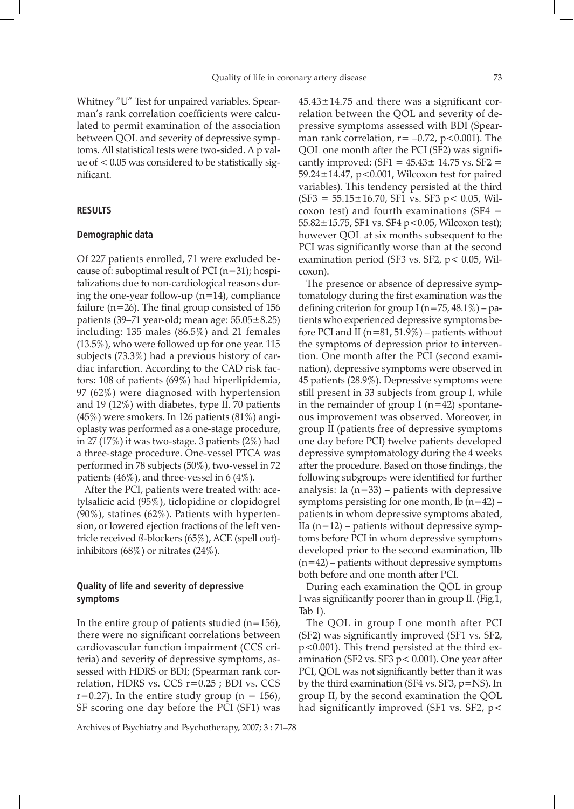coxon).

Whitney "U" Test for unpaired variables. Spearman's rank correlation coefficients were calculated to permit examination of the association between QOL and severity of depressive symptoms. All statistical tests were two-sided. A p value of < 0.05 was considered to be statistically significant.

### **RESULTS**

## **Demographic data**

Of 227 patients enrolled, 71 were excluded because of: suboptimal result of PCI  $(n=31)$ ; hospitalizations due to non-cardiological reasons during the one-year follow-up  $(n=14)$ , compliance failure ( $n=26$ ). The final group consisted of 156 patients (39–71 year-old; mean age:  $55.05 \pm 8.25$ ) including: 135 males (86.5%) and 21 females (13.5%), who were followed up for one year. 115 subjects (73.3%) had a previous history of cardiac infarction. According to the CAD risk factors: 108 of patients (69%) had hiperlipidemia, 97 (62%) were diagnosed with hypertension and 19 (12%) with diabetes, type II. 70 patients (45%) were smokers. In 126 patients (81%) angioplasty was performed as a one-stage procedure, in 27 (17%) it was two-stage. 3 patients (2%) had a three-stage procedure. One-vessel PTCA was performed in 78 subjects (50%), two-vessel in 72 patients (46%), and three-vessel in 6 (4%).

After the PCI, patients were treated with: acetylsalicic acid (95%), ticlopidine or clopidogrel  $(90\%)$ , statines  $(62\%)$ . Patients with hypertension, or lowered ejection fractions of the left ventricle received ß-blockers (65%), ACE (spell out) inhibitors (68%) or nitrates (24%).

# **Quality of life and severity of depressive symptoms**

In the entire group of patients studied  $(n=156)$ , there were no significant correlations between cardiovascular function impairment (CCS criteria) and severity of depressive symptoms, assessed with HDRS or BDI; (Spearman rank correlation, HDRS vs. CCS r=0.25 ; BDI vs. CCS  $r=0.27$ ). In the entire study group (n = 156), SF scoring one day before the PCI (SF1) was

Archives of Psychiatry and Psychotherapy, 2007; 3 : 71–78

 $45.43 \pm 14.75$  and there was a significant correlation between the QOL and severity of depressive symptoms assessed with BDI (Spearman rank correlation,  $r = -0.72$ ,  $p < 0.001$ ). The QOL one month after the PCI (SF2) was significantly improved:  $(SF1 = 45.43 \pm 14.75 \text{ vs. } SF2 =$ 59.24±14.47, p<0.001, Wilcoxon test for paired variables). This tendency persisted at the third  $(SF3 = 55.15 \pm 16.70, SF1$  vs.  $SF3$  p < 0.05, Wilcoxon test) and fourth examinations  $(SF4 =$ 55.82±15.75, SF1 vs. SF4 p<0.05, Wilcoxon test); however QOL at six months subsequent to the PCI was significantly worse than at the second examination period (SF3 vs. SF2, p< 0.05, Wil-

The presence or absence of depressive symptomatology during the first examination was the defining criterion for group I ( $n=75$ , 48.1%) – patients who experienced depressive symptoms before PCI and II ( $n=81, 51.9\%$ ) – patients without the symptoms of depression prior to intervention. One month after the PCI (second examination), depressive symptoms were observed in 45 patients (28.9%). Depressive symptoms were still present in 33 subjects from group I, while in the remainder of group I ( $n=42$ ) spontaneous improvement was observed. Moreover, in group II (patients free of depressive symptoms one day before PCI) twelve patients developed depressive symptomatology during the 4 weeks after the procedure. Based on those findings, the following subgroups were identified for further analysis: Ia (n=33) – patients with depressive symptoms persisting for one month,  $I\bar{b}$  (n=42) – patients in whom depressive symptoms abated, IIa  $(n=12)$  – patients without depressive symptoms before PCI in whom depressive symptoms developed prior to the second examination, IIb  $(n=42)$  – patients without depressive symptoms both before and one month after PCI.

During each examination the QOL in group I was significantly poorer than in group II. (Fig.1, Tab 1).

The QOL in group I one month after PCI (SF2) was significantly improved (SF1 vs. SF2, p<0.001). This trend persisted at the third examination (SF2 vs. SF3  $p < 0.001$ ). One year after PCI, QOL was not significantly better than it was by the third examination (SF4 vs. SF3, p=NS). In group II, by the second examination the QOL had significantly improved (SF1 vs. SF2, p<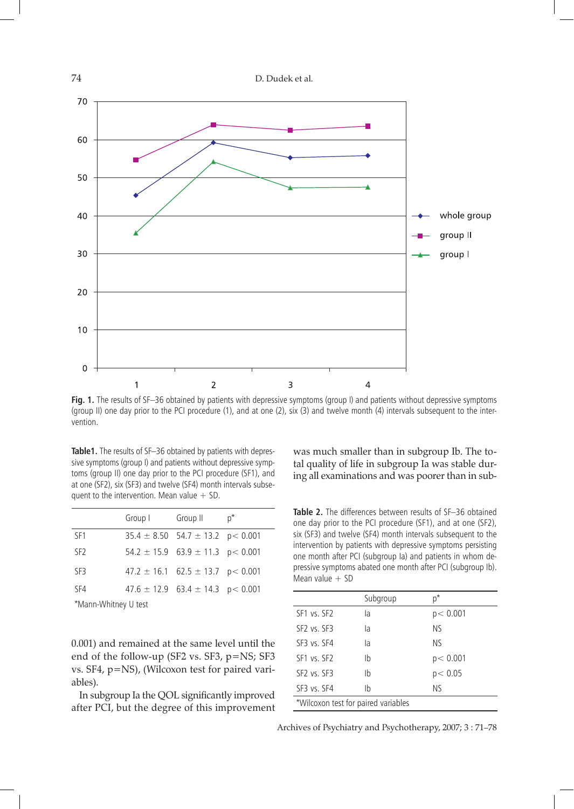

**Fig. 1.** The results of SF–36 obtained by patients with depressive symptoms (group I) and patients without depressive symptoms (group II) one day prior to the PCI procedure (1), and at one (2), six (3) and twelve month (4) intervals subsequent to the intervention.

**Table1.** The results of SF–36 obtained by patients with depressive symptoms (group I) and patients without depressive symptoms (group II) one day prior to the PCI procedure (SF1), and at one (SF2), six (SF3) and twelve (SF4) month intervals subsequent to the intervention. Mean value  $+$  SD.

|                      | Group I | Group II                                  | p* |  |
|----------------------|---------|-------------------------------------------|----|--|
| SF1                  |         | $35.4 \pm 8.50$ 54.7 $\pm$ 13.2 p < 0.001 |    |  |
| SF <sub>2</sub>      |         | $54.2 \pm 15.9$ 63.9 $\pm$ 11.3 p < 0.001 |    |  |
| SF3                  |         | $47.2 \pm 16.1$ 62.5 $\pm$ 13.7 p < 0.001 |    |  |
| SF4                  |         | $47.6 \pm 12.9$ 63.4 $\pm$ 14.3 p < 0.001 |    |  |
| *Mann-Whitney U test |         |                                           |    |  |

\*Mann-Whitney U test

was much smaller than in subgroup Ib. The total quality of life in subgroup Ia was stable during all examinations and was poorer than in sub-

**Table 2.** The differences between results of SF–36 obtained one day prior to the PCI procedure (SF1), and at one (SF2), six (SF3) and twelve (SF4) month intervals subsequent to the intervention by patients with depressive symptoms persisting one month after PCI (subgroup Ia) and patients in whom depressive symptoms abated one month after PCI (subgroup Ib). Mean value  $+$  SD

|                                     | Subgroup | p*        |  |
|-------------------------------------|----------|-----------|--|
| SF1 vs. SF2                         | la       | p < 0.001 |  |
| SF <sub>2</sub> vs. SF <sub>3</sub> | la       | <b>NS</b> |  |
| SF3 vs. SF4                         | la       | <b>NS</b> |  |
| SF1 vs. SF2                         | Ib       | p < 0.001 |  |
| SF <sub>2</sub> vs. SF <sub>3</sub> | Ib       | p < 0.05  |  |
| SF3 vs. SF4                         | Ib       | ΝS        |  |
| *Wilcoxon test for paired variables |          |           |  |

0.001) and remained at the same level until the end of the follow-up (SF2 vs. SF3, p=NS; SF3 vs. SF4, p=NS), (Wilcoxon test for paired variables).

In subgroup Ia the QOL significantly improved after PCI, but the degree of this improvement

Archives of Psychiatry and Psychotherapy, 2007; 3 : 71–78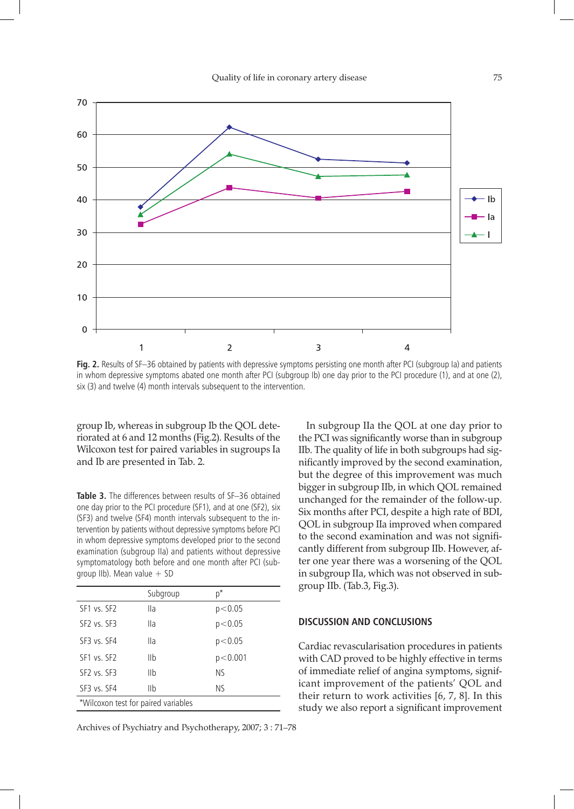

**Fig. 2.** Results of SF–36 obtained by patients with depressive symptoms persisting one month after PCI (subgroup Ia) and patients in whom depressive symptoms abated one month after PCI (subgroup Ib) one day prior to the PCI procedure (1), and at one (2), six (3) and twelve (4) month intervals subsequent to the intervention.

group Ib, whereas in subgroup Ib the QOL deteriorated at 6 and 12 months (Fig.2). Results of the Wilcoxon test for paired variables in sugroups Ia and Ib are presented in Tab. 2.

**Table 3.** The differences between results of SF–36 obtained one day prior to the PCI procedure (SF1), and at one (SF2), six (SF3) and twelve (SF4) month intervals subsequent to the intervention by patients without depressive symptoms before PCI in whom depressive symptoms developed prior to the second examination (subgroup IIa) and patients without depressive symptomatology both before and one month after PCI (subgroup IIb). Mean value  $+$  SD

|                                     | Subgroup | p*        |  |
|-------------------------------------|----------|-----------|--|
| SF1 vs. SF2                         | Ila      | p< 0.05   |  |
| SF <sub>2</sub> vs. SF <sub>3</sub> | lla      | p < 0.05  |  |
| SF3 vs. SF4                         | Ila      | p< 0.05   |  |
| SF1 vs. SF2                         | IIb      | p < 0.001 |  |
| SF <sub>2</sub> vs. SF <sub>3</sub> | IIb      | <b>NS</b> |  |
| SF3 vs. SF4                         | IIb      | <b>NS</b> |  |
| *Wilcoxon test for paired variables |          |           |  |

Archives of Psychiatry and Psychotherapy, 2007; 3 : 71–78

In subgroup IIa the QOL at one day prior to the PCI was significantly worse than in subgroup IIb. The quality of life in both subgroups had significantly improved by the second examination, but the degree of this improvement was much bigger in subgroup IIb, in which QOL remained unchanged for the remainder of the follow-up. Six months after PCI, despite a high rate of BDI, QOL in subgroup IIa improved when compared to the second examination and was not significantly different from subgroup IIb. However, after one year there was a worsening of the QOL in subgroup IIa, which was not observed in subgroup IIb. (Tab.3, Fig.3).

## **DISCUSSION AND COnCLUSIONS**

Cardiac revascularisation procedures in patients with CAD proved to be highly effective in terms of immediate relief of angina symptoms, significant improvement of the patients' QOL and their return to work activities [6, 7, 8]. In this study we also report a significant improvement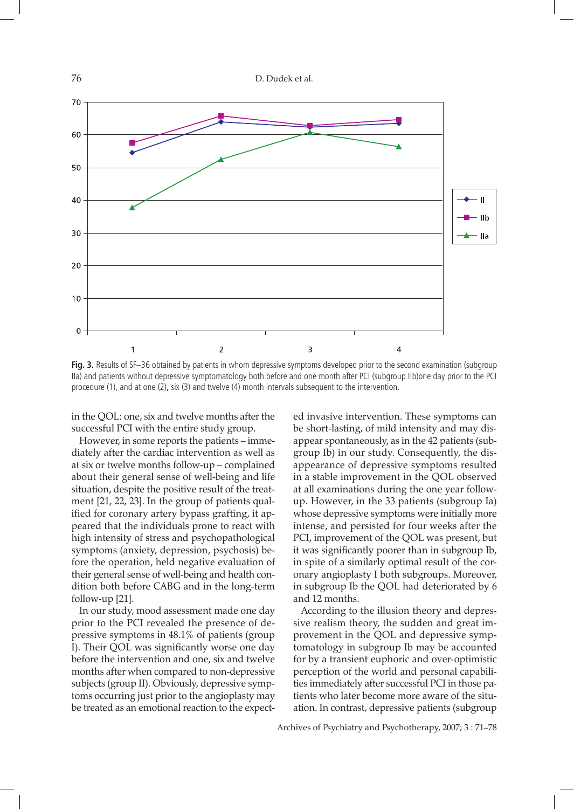

**Fig. 3.** Results of SF–36 obtained by patients in whom depressive symptoms developed prior to the second examination (subgroup IIa) and patients without depressive symptomatology both before and one month after PCI (subgroup IIb)one day prior to the PCI procedure (1), and at one (2), six (3) and twelve (4) month intervals subsequent to the intervention.

in the QOL: one, six and twelve months after the successful PCI with the entire study group.

However, in some reports the patients – immediately after the cardiac intervention as well as at six or twelve months follow-up – complained about their general sense of well-being and life situation, despite the positive result of the treatment [21, 22, 23]. In the group of patients qualified for coronary artery bypass grafting, it appeared that the individuals prone to react with high intensity of stress and psychopathological symptoms (anxiety, depression, psychosis) before the operation, held negative evaluation of their general sense of well-being and health condition both before CABG and in the long-term follow-up [21].

In our study, mood assessment made one day prior to the PCI revealed the presence of depressive symptoms in 48.1% of patients (group I). Their QOL was significantly worse one day before the intervention and one, six and twelve months after when compared to non-depressive subjects (group II). Obviously, depressive symptoms occurring just prior to the angioplasty may be treated as an emotional reaction to the expected invasive intervention. These symptoms can be short-lasting, of mild intensity and may disappear spontaneously, as in the 42 patients (subgroup Ib) in our study. Consequently, the disappearance of depressive symptoms resulted in a stable improvement in the QOL observed at all examinations during the one year followup. However, in the 33 patients (subgroup Ia) whose depressive symptoms were initially more intense, and persisted for four weeks after the PCI, improvement of the QOL was present, but it was significantly poorer than in subgroup Ib, in spite of a similarly optimal result of the coronary angioplasty I both subgroups. Moreover, in subgroup Ib the QOL had deteriorated by 6 and 12 months.

According to the illusion theory and depressive realism theory, the sudden and great improvement in the QOL and depressive symptomatology in subgroup Ib may be accounted for by a transient euphoric and over-optimistic perception of the world and personal capabilities immediately after successful PCI in those patients who later become more aware of the situation. In contrast, depressive patients (subgroup

Archives of Psychiatry and Psychotherapy, 2007; 3 : 71–78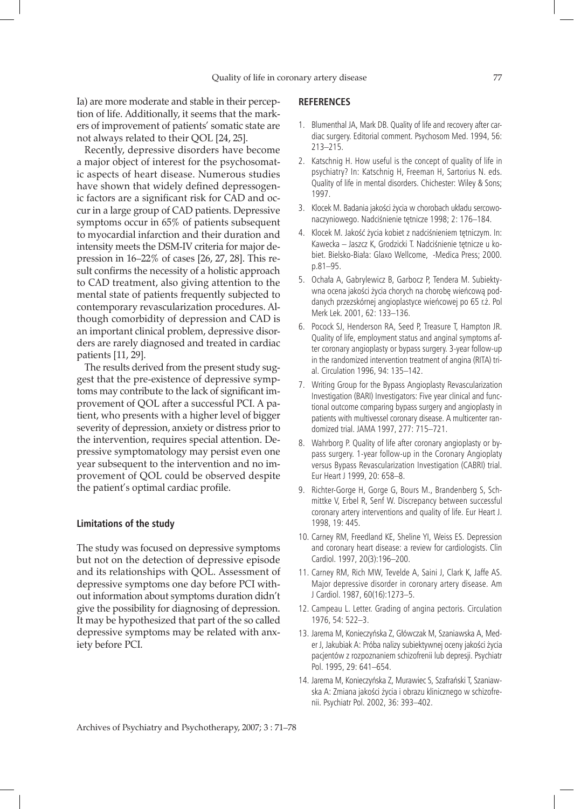Ia) are more moderate and stable in their perception of life. Additionally, it seems that the markers of improvement of patients' somatic state are not always related to their QOL [24, 25].

Recently, depressive disorders have become a major object of interest for the psychosomatic aspects of heart disease. Numerous studies have shown that widely defined depressogenic factors are a significant risk for CAD and occur in a large group of CAD patients. Depressive symptoms occur in 65% of patients subsequent to myocardial infarction and their duration and intensity meets the DSM-IV criteria for major depression in 16–22% of cases [26, 27, 28]. This result confirms the necessity of a holistic approach to CAD treatment, also giving attention to the mental state of patients frequently subjected to contemporary revascularization procedures. Although comorbidity of depression and CAD is an important clinical problem, depressive disorders are rarely diagnosed and treated in cardiac patients [11, 29].

The results derived from the present study suggest that the pre-existence of depressive symptoms may contribute to the lack of significant improvement of QOL after a successful PCI. A patient, who presents with a higher level of bigger severity of depression, anxiety or distress prior to the intervention, requires special attention. Depressive symptomatology may persist even one year subsequent to the intervention and no improvement of QOL could be observed despite the patient's optimal cardiac profile.

## **Limitations of the study**

The study was focused on depressive symptoms but not on the detection of depressive episode and its relationships with QOL. Assessment of depressive symptoms one day before PCI without information about symptoms duration didn't give the possibility for diagnosing of depression. It may be hypothesized that part of the so called depressive symptoms may be related with anxiety before PCI.

### **REFERENCES**

- 1. Blumenthal JA, Mark DB. Quality of life and recovery after cardiac surgery. Editorial comment. Psychosom Med. 1994, 56: 213–215.
- 2. Katschnig H. How useful is the concept of quality of life in psychiatry? In: Katschnig H, Freeman H, Sartorius N. eds. Quality of life in mental disorders. Chichester: Wiley & Sons; 1997.
- 3. Klocek M. Badania jakości życia w chorobach układu sercowonaczyniowego. Nadciśnienie tętnicze 1998; 2: 176–184.
- 4. Klocek M. Jakość życia kobiet z nadciśnieniem tętniczym. In: Kawecka – Jaszcz K, Grodzicki T. Nadciśnienie tętnicze u kobiet. Bielsko-Biała: Glaxo Wellcome, -Medica Press; 2000. p.81–95.
- 5. Ochała A, Gabrylewicz B, Garbocz P, Tendera M. Subiektywna ocena jakości życia chorych na chorobę wieńcową poddanych przezskórnej angioplastyce wieńcowej po 65 r.ż. Pol Merk Lek. 2001, 62: 133–136.
- 6. Pocock SJ, Henderson RA, Seed P, Treasure T, Hampton JR. Quality of life, employment status and anginal symptoms after coronary angioplasty or bypass surgery. 3-year follow-up in the randomized intervention treatment of angina (RITA) trial. Circulation 1996, 94: 135–142.
- 7. Writing Group for the Bypass Angioplasty Revascularization Investigation (BARI) Investigators: Five year clinical and functional outcome comparing bypass surgery and angioplasty in patients with multivessel coronary disease. A multicenter randomized trial. JAMA 1997, 277: 715–721.
- 8. Wahrborg P. Quality of life after coronary angioplasty or bypass surgery. 1-year follow-up in the Coronary Angioplaty versus Bypass Revascularization Investigation (CABRI) trial. Eur Heart J 1999, 20: 658–8.
- 9. Richter-Gorge H, Gorge G, Bours M., Brandenberg S, Schmittke V, Erbel R, Senf W. Discrepancy between successful coronary artery interventions and quality of life. Eur Heart J. 1998, 19: 445.
- 10. Carney RM, Freedland KE, Sheline YI, Weiss ES. Depression and coronary heart disease: a review for cardiologists. Clin Cardiol. 1997, 20(3):196–200.
- 11. Carney RM, Rich MW, Tevelde A, Saini J, Clark K, Jaffe AS. Major depressive disorder in coronary artery disease. Am J Cardiol. 1987, 60(16):1273–5.
- 12. Campeau L. Letter. Grading of angina pectoris. Circulation 1976, 54: 522–3.
- 13. Jarema M, Konieczyńska Z, Główczak M, Szaniawska A, Meder J, Jakubiak A: Próba nalizy subiektywnej oceny jakości życia pacjentów z rozpoznaniem schizofrenii lub depresji. Psychiatr Pol. 1995, 29: 641–654.
- 14. Jarema M, Konieczyńska Z, Murawiec S, Szafrański T, Szaniawska A: Zmiana jakości życia i obrazu klinicznego w schizofrenii. Psychiatr Pol. 2002, 36: 393–402.

Archives of Psychiatry and Psychotherapy, 2007; 3 : 71–78